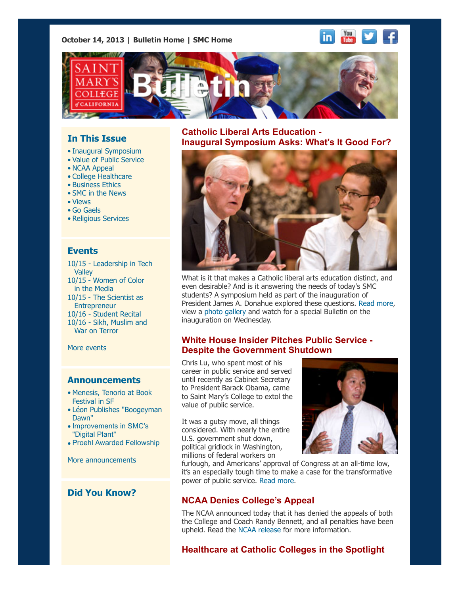**October 14, 2013 | [Bulletin Home](http://www.stmarys-ca.edu/smc-bulletin?utm_source=Bulletin&utm_medium=email&utm_campaign=10-14-2013) | [SMC Home](http://www.stmarys-ca.edu/?utm_source=Bulletin&utm_medium=email&utm_campaign=10-14-2013)**

# **In This Issue**

- [•](file:///Users/smallalieu/Documents/StMarys/Bulletin/Bulletin_10_14_13/Bulletin_10_14_13_SENT.html#09_30_13_studentslearn) Inaugural Symposium
- Value of Public Service
- NCAA Appeal
- College Healthcare
- Business Ethics
- SMC in the News
- Views
- Go Gaels
- Religious Services

### **Events**

[10/15 - Leadership in Tech](http://www.stmarys-ca.edu/leadership-in-tech-valley-communication-department-leadership-series-0?utm_source=Bulletin&utm_medium=email&utm_campaign=10-14-13) **Valley** 10/15 [- Women of Color](http://www.stmarys-ca.edu/ratchets-hussies-hos-oh-my-women-of-color-in-the-media-0?utm_source=Bulletin&utm_medium=email&utm_campaign=10-14-13) in the Media 10/15 [- The Scientist as](http://www.stmarys-ca.edu/the-scientist-as-entrepreneur?utm_source=Bulletin&utm_medium=email&utm_campaign=10-14-13) **Entrepreneur** 10/16 - [Student Recital](http://www.stmarys-ca.edu/student-recital-series-0?utm_source=Bulletin&utm_medium=email&utm_campaign=10-17-13) [10/16 - Sikh, Muslim and](http://www.stmarys-ca.edu/sikh-muslim-and-war-on-terror?utm_source=Bulletin&utm_medium=email&utm_campaign=10-14-13) War on Terror

[More events](http://www.stmarys-ca.edu/calendar/63?utm_source=Bulletin&utm_medium=email&utm_campaign=10-14-2013)

#### **Announcements**

- [•](file:///Users/smallalieu/Documents/StMarys/Bulletin/Bulletin_10_14_13/Bulletin_10_14_13_SENT.html#09_30_13_studentslearn) [Menesis, Tenorio at Book](http://www.stmarys-ca.edu/meneses-tenorio-at-book-festival-in-sf?utm_source=Bulletin&utm_medium=email&utm_campaign=10-17-13) Festival in SF
- [Léon Publishes "Boogeyman](http://www.stmarys-ca.edu/leon-publishes-boogeyman-dawn?utm_source=Bulletin&utm_medium=email&utm_campaign=10-17-13) Dawn"
- [Improvements in SMC's](http://www.stmarys-ca.edu/improvements-in-smc-digital-plant?utm_source=Bulletin&utm_medium=email&utm_campaign=10-17-13) "Digital Plant"
- [Proehl Awarded Fellowship](http://www.stmarys-ca.edu/proehl-awarded-fellowship-to-study-catalyst-schools?utm_source=Bulletin&utm_medium=email&utm_campaign=10-17-13)

[More announcements](http://www.stmarys-ca.edu/smc-bulletin/announcements?utm_source=Bulletin&utm_medium=email&utm_campaign=10-14-2013)

# **Did You Know?**

**Catholic Liberal Arts Education - Inaugural Symposium Asks: What's It Good For?**



What is it that makes a Catholic liberal arts education distinct, and even desirable? And is it answering the needs of today's SMC students? A symposium held as part of the inauguration of [President James A. Donahue explored these questions. Read more,](http://www.stmarys-ca.edu/catholic-liberal-arts-education-what%E2%80%99s-it-good-for?utm_source=Bulletin&utm_medium=email&utm_campaign=10-17-13) view [a photo gallery](http://www.stmarys-ca.edu/inaugural-symposium-considers-value-of-catholic-liberal-arts-education?utm_source=Bulletin&utm_medium=email&utm_campaign=10-14-13) and watch for a special Bulletin on the inauguration on Wednesday.

### **White House Insider Pitches Public Service - Despite the Government Shutdown**

Chris Lu, who spent most of his career in public service and served until recently as Cabinet Secretary to President Barack Obama, came to Saint Mary's College to extol the value of public service.

It was a gutsy move, all things considered. With nearly the entire U.S. government shut down, political gridlock in Washington, millions of federal workers on



You<br>Tube

in.

furlough, and Americans' approval of Congress at an all-time low, it's an especially tough time to make a case for the transformative power of public service. [Read more.](http://www.stmarys-ca.edu/white-house-insider-pitches-public-service-despite-the-government-shutdown?utm_source=Bulletin&utm_medium=email&utm_campaign=10-17-13)

### **NCAA Denies College's Appeal**

The NCAA announced today that it has denied the appeals of both the College and Coach Randy Bennett, and all penalties have been upheld. Read the [NCAA release](http://www.ncaa.org/wps/wcm/connect/public/ncaa/resources/latest+news/2013/october/st.+marys+%28california%29+and+head+mens+basketball+coachs+findings+and+penalties+upheld) for more information.

## **Healthcare at Catholic Colleges in the Spotlight**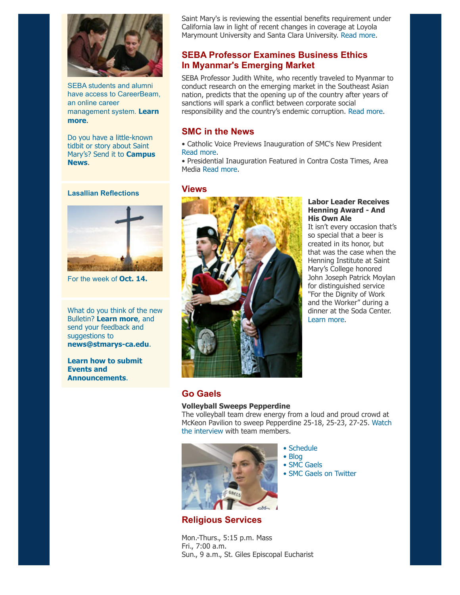

SEBA students and alumni have access to CareerBeam, an online career [management system.](http://www.stmarys-ca.edu/career-center-and-careerbeam-resource-overview-1?utm_source=Bulletin&utm_medium=email&utm_campaign=10-17-13) **Learn more**.

Do you have a little-known tidbit or story about Saint [Mary's? Send it to](mailto:news@stmarys-ca.edu) **Campus News**.

**Lasallian Reflections**



For the week of **[Oct. 14.](http://www.stmarys-ca.edu/living-lasallian/lasallian-reflections?utm_source=Bulletin&utm_medium=email&utm_campaign=10-14-2013)**

What do you think of the new Bulletin? **[Learn more](http://www.stmarys-ca.edu/smcs-new-campus-newsletter-launches?utm_source=Bulletin&utm_medium=email&utm_campaign=10-07-2013)**, and send your feedback and suggestions to **[news@stmarys-ca.edu](mailto:news@stmarys-ca.edu)**.

**[Learn how to submit](http://www.stmarys-ca.edu/smc-bulletin/faqs?utm_source=Bulletin&utm_medium=email&utm_campaign=10-07-2013) Events and Announcements**.

Saint Mary's is reviewing the essential benefits requirement under California law in light of recent changes in coverage at Loyola Marymount University and Santa Clara University. [Read more.](http://www.stmarys-ca.edu/healthcare-at-catholic-colleges-in-the-spotlight?utm_source=Bulletin&utm_medium=email&utm_campaign=10-17-13)

# **SEBA Professor Examines Business Ethics In Myanmar's Emerging Market**

SEBA Professor Judith White, who recently traveled to Myanmar to conduct research on the emerging market in the Southeast Asian nation, predicts that the opening up of the country after years of sanctions will spark a conflict between corporate social responsibility and the country's endemic corruption. [Read more.](http://www.stmarys-ca.edu/seba-professor-examines-business-ethics-in-asia?utm_source=Bulletin&utm_medium=email&utm_campaign=10-17-13)

### **SMC in the News**

- Catholic Voice Previews Inauguration of SMC's New President [Read more.](http://www.stmarys-ca.edu/catholic-voice-reports-on-upcoming-inaugural-of-saint-marys-president?utm_source=Bulletin&utm_medium=email&utm_campaign=10-17-13)
- Presidential Inauguration Featured in Contra Costa Times, Area Media [Read more.](http://www.stmarys-ca.edu/contra-costa-times-area-media-covers-inauguration-of-president-donahue?utm_source=Bulletin&utm_medium=email&utm_campaign=10-17-13)

#### **Views**



#### **Labor Leader Receives Henning Award - And His Own Ale**

It isn't every occasion that's so special that a beer is created in its honor, but that was the case when the Henning Institute at Saint Mary's College honored John Joseph Patrick Moylan for distinguished service "For the Dignity of Work and the Worker" during a dinner at the Soda Center. [Learn more.](http://www.stmarys-ca.edu/labor-leader-john-moylan-honored-by-henning-institute?utm_source=Bulletin&utm_medium=email&utm_campaign=10-17-13)

# **Go Gaels**

#### **Volleyball Sweeps Pepperdine**

The volleyball team drew energy from a loud and proud crowd at [McKeon Pavilion to sweep Pepperdine 25-18, 25-23, 27-25.](http://www.smcgaels.com/ViewArticle.dbml?DB_OEM_ID=21400&ATCLID=209282426) Watch the interview with team members.



**Religious Services**

Mon.-Thurs., 5:15 p.m. Mass Fri., 7:00 a.m. Sun., 9 a.m., St. Giles Episcopal Eucharist